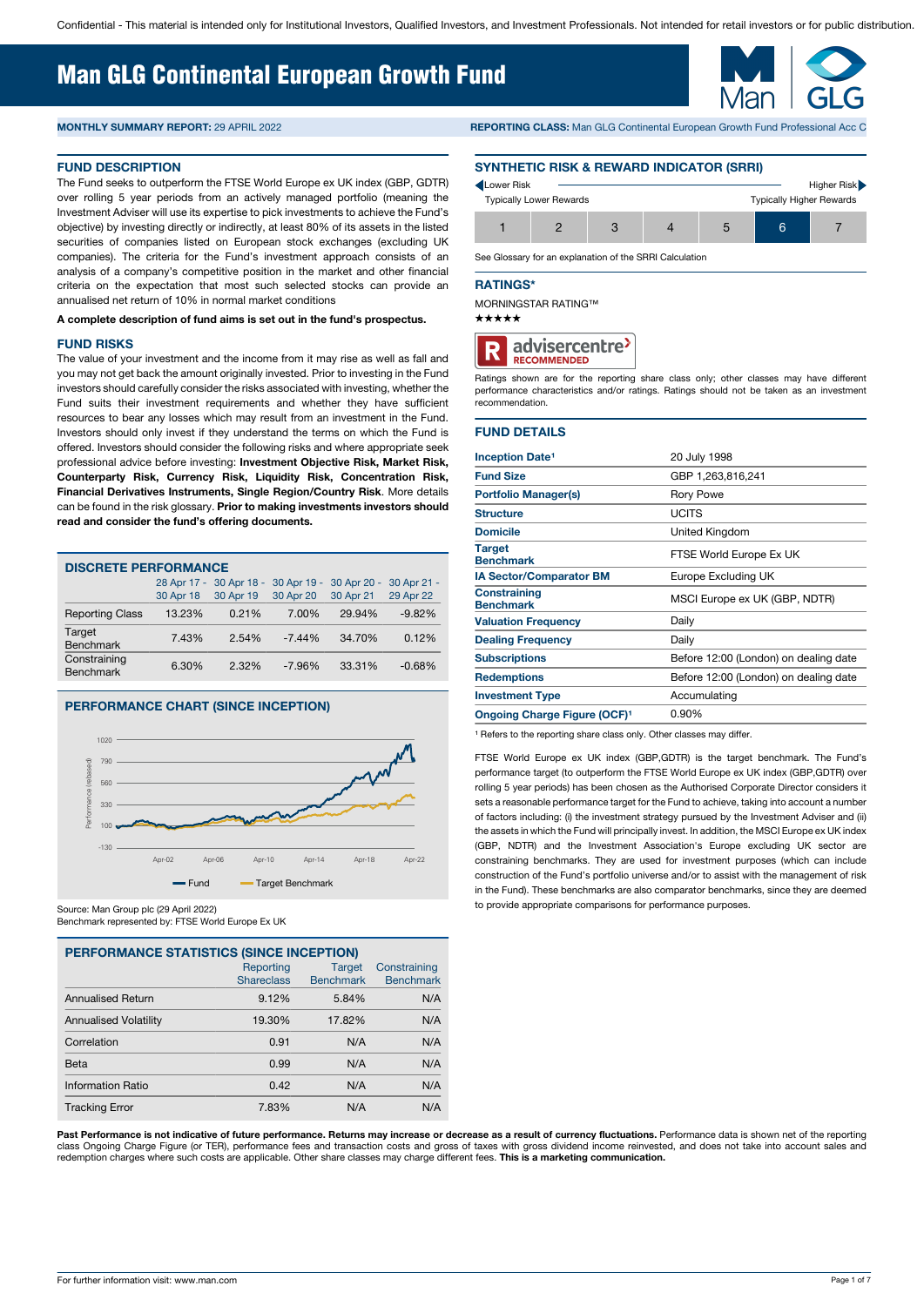# Man GLG Continental European Growth Fund

#### **FUND DESCRIPTION**

The Fund seeks to outperform the FTSE World Europe ex UK index (GBP, GDTR) over rolling 5 year periods from an actively managed portfolio (meaning the Investment Adviser will use its expertise to pick investments to achieve the Fund's objective) by investing directly or indirectly, at least 80% of its assets in the listed securities of companies listed on European stock exchanges (excluding UK companies). The criteria for the Fund's investment approach consists of an analysis of a company's competitive position in the market and other financial criteria on the expectation that most such selected stocks can provide an annualised net return of 10% in normal market conditions

#### **A complete description of fund aims is set out in the fund's prospectus.**

#### **FUND RISKS**

The value of your investment and the income from it may rise as well as fall and you may not get back the amount originally invested. Prior to investing in the Fund investors should carefully consider the risks associated with investing, whether the Fund suits their investment requirements and whether they have sufficient resources to bear any losses which may result from an investment in the Fund. Investors should only invest if they understand the terms on which the Fund is offered. Investors should consider the following risks and where appropriate seek professional advice before investing: **Investment Objective Risk, Market Risk, Counterparty Risk, Currency Risk, Liquidity Risk, Concentration Risk, Financial Derivatives Instruments, Single Region/Country Risk**. More details can be found in the risk glossary. **Prior to making investments investors should read and consider the fund's offering documents.**

| <b>DISCRETE PERFORMANCE</b>      |           |                                     |           |             |             |  |  |  |  |  |
|----------------------------------|-----------|-------------------------------------|-----------|-------------|-------------|--|--|--|--|--|
|                                  |           | 28 Apr 17 - 30 Apr 18 - 30 Apr 19 - |           | 30 Apr 20 - | 30 Apr 21 - |  |  |  |  |  |
|                                  | 30 Apr 18 | 30 Apr 19                           | 30 Apr 20 | 30 Apr 21   | 29 Apr 22   |  |  |  |  |  |
| <b>Reporting Class</b>           | 13.23%    | 0.21%                               | 7.00%     | 29.94%      | $-9.82%$    |  |  |  |  |  |
| Target<br><b>Benchmark</b>       | 7.43%     | 2.54%                               | $-7.44%$  | 34.70%      | 0.12%       |  |  |  |  |  |
| Constraining<br><b>Benchmark</b> | 6.30%     | $2.32\%$                            | $-7.96%$  | 33.31%      | $-0.68%$    |  |  |  |  |  |
|                                  |           |                                     |           |             |             |  |  |  |  |  |

# **PERFORMANCE CHART (SINCE INCEPTION)**



Source: Man Group plc (29 April 2022) Benchmark represented by: FTSE World Europe Ex UK

| <b>PERFORMANCE STATISTICS (SINCE INCEPTION)</b> |                   |                  |                  |  |  |  |  |  |  |  |
|-------------------------------------------------|-------------------|------------------|------------------|--|--|--|--|--|--|--|
|                                                 | Reporting         | <b>Target</b>    | Constraining     |  |  |  |  |  |  |  |
|                                                 | <b>Shareclass</b> | <b>Benchmark</b> | <b>Benchmark</b> |  |  |  |  |  |  |  |
| <b>Annualised Return</b>                        | 9.12%             | 5.84%            | N/A              |  |  |  |  |  |  |  |
| <b>Annualised Volatility</b>                    | 19.30%            | 17.82%           | N/A              |  |  |  |  |  |  |  |
| Correlation                                     | 0.91              | N/A              | N/A              |  |  |  |  |  |  |  |
| Beta                                            | 0.99              | N/A              | N/A              |  |  |  |  |  |  |  |
| Information Ratio                               | 0.42              | N/A              | N/A              |  |  |  |  |  |  |  |
| <b>Tracking Error</b>                           | 7.83%             | N/A              | N/A              |  |  |  |  |  |  |  |

**MONTHLY SUMMARY REPORT:** 29 APRIL 2022 **REPORTING CLASS:** Man GLG Continental European Growth Fund Professional Acc C

#### **SYNTHETIC RISK & REWARD INDICATOR (SRRI)**

| Lower Risk                     |                                 |  |   | Higher Risk |
|--------------------------------|---------------------------------|--|---|-------------|
| <b>Typically Lower Rewards</b> | <b>Typically Higher Rewards</b> |  |   |             |
|                                |                                 |  | 6 |             |

See Glossary for an explanation of the SRRI Calculation

#### **RATINGS\***

MORNINGSTAR RATING™

 $***$ 



Ratings shown are for the reporting share class only; other classes may have different performance characteristics and/or ratings. Ratings should not be taken as an investment recommendation.

### **FUND DETAILS**

| <b>Inception Date<sup>1</sup></b>       | 20 July 1998                          |
|-----------------------------------------|---------------------------------------|
| <b>Fund Size</b>                        | GBP 1,263,816,241                     |
| <b>Portfolio Manager(s)</b>             | <b>Rory Powe</b>                      |
| <b>Structure</b>                        | <b>UCITS</b>                          |
| <b>Domicile</b>                         | United Kingdom                        |
| <b>Target</b><br><b>Benchmark</b>       | FTSE World Europe Ex UK               |
| <b>IA Sector/Comparator BM</b>          | Europe Excluding UK                   |
| <b>Constraining</b><br><b>Benchmark</b> | MSCI Europe ex UK (GBP, NDTR)         |
| <b>Valuation Frequency</b>              | Daily                                 |
| <b>Dealing Frequency</b>                | Daily                                 |
| <b>Subscriptions</b>                    | Before 12:00 (London) on dealing date |
| <b>Redemptions</b>                      | Before 12:00 (London) on dealing date |
| <b>Investment Type</b>                  | Accumulating                          |
| <b>Ongoing Charge Figure (OCF)1</b>     | 0.90%                                 |

<sup>1</sup> Refers to the reporting share class only. Other classes may differ.

FTSE World Europe ex UK index (GBP,GDTR) is the target benchmark. The Fund's performance target (to outperform the FTSE World Europe ex UK index (GBP,GDTR) over rolling 5 year periods) has been chosen as the Authorised Corporate Director considers it sets a reasonable performance target for the Fund to achieve, taking into account a number of factors including: (i) the investment strategy pursued by the Investment Adviser and (ii) the assets in which the Fund will principally invest. In addition, the MSCI Europe ex UK index (GBP, NDTR) and the Investment Association's Europe excluding UK sector are constraining benchmarks. They are used for investment purposes (which can include construction of the Fund's portfolio universe and/or to assist with the management of risk in the Fund). These benchmarks are also comparator benchmarks, since they are deemed to provide appropriate comparisons for performance purposes.

Past Performance is not indicative of future performance. Returns may increase or decrease as a result of currency fluctuations. Performance data is shown net of the reporting class Ongoing Charge Figure (or TER), performance fees and transaction costs and gross of taxes with gross dividend income reinvested, and does not take into account sales and<br>redemption charges where such costs are applic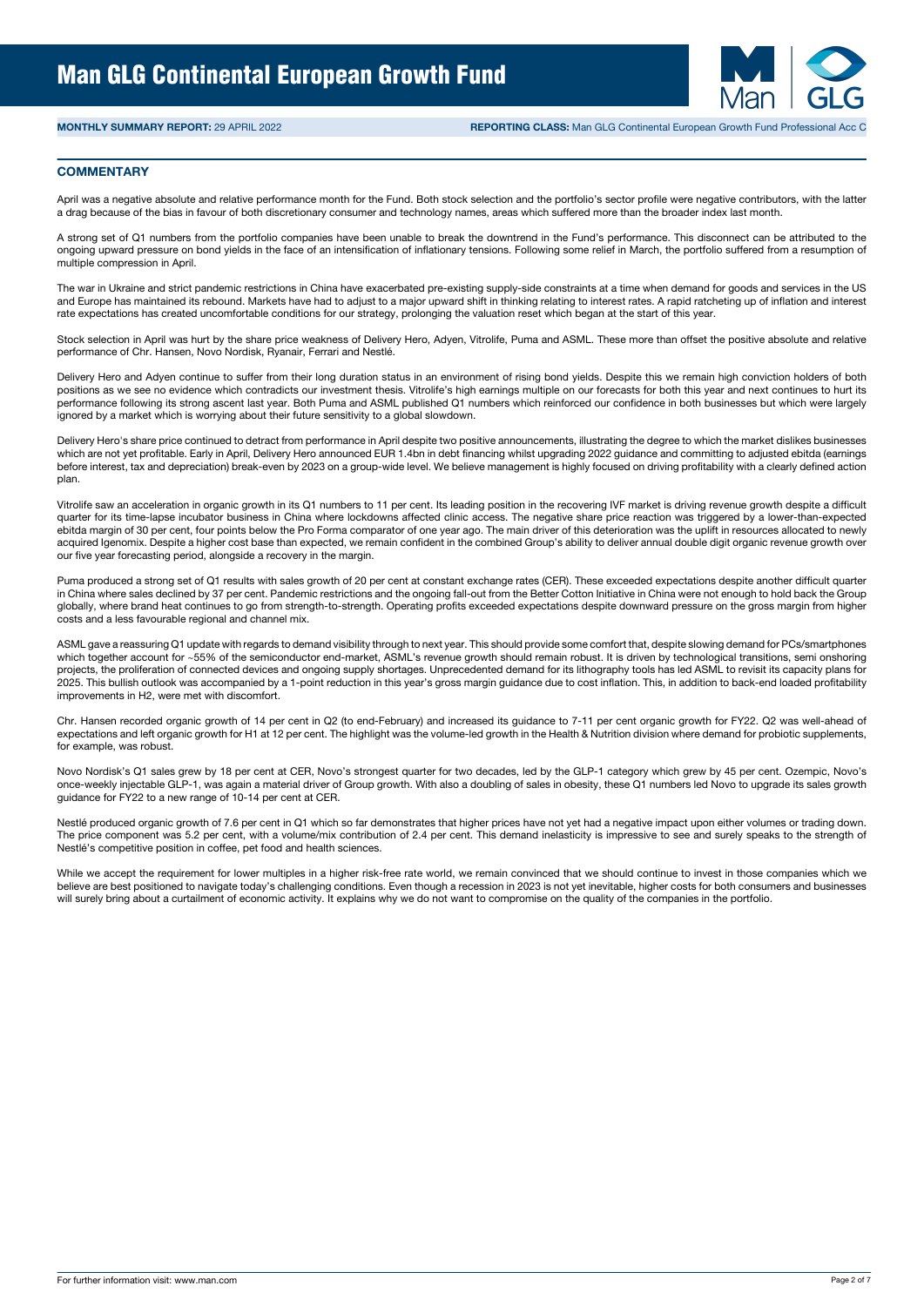

#### **COMMENTARY**

April was a negative absolute and relative performance month for the Fund. Both stock selection and the portfolio's sector profile were negative contributors, with the latter a drag because of the bias in favour of both discretionary consumer and technology names, areas which suffered more than the broader index last month.

A strong set of Q1 numbers from the portfolio companies have been unable to break the downtrend in the Fund's performance. This disconnect can be attributed to the ongoing upward pressure on bond yields in the face of an intensification of inflationary tensions. Following some relief in March, the portfolio suffered from a resumption of multiple compression in April.

The war in Ukraine and strict pandemic restrictions in China have exacerbated pre-existing supply-side constraints at a time when demand for goods and services in the US and Europe has maintained its rebound. Markets have had to adjust to a major upward shift in thinking relating to interest rates. A rapid ratcheting up of inflation and interest rate expectations has created uncomfortable conditions for our strategy, prolonging the valuation reset which began at the start of this year.

Stock selection in April was hurt by the share price weakness of Delivery Hero, Adyen, Vitrolife, Puma and ASML. These more than offset the positive absolute and relative performance of Chr. Hansen, Novo Nordisk, Ryanair, Ferrari and Nestlé.

Delivery Hero and Adyen continue to suffer from their long duration status in an environment of rising bond yields. Despite this we remain high conviction holders of both positions as we see no evidence which contradicts our investment thesis. Vitrolife's high earnings multiple on our forecasts for both this year and next continues to hurt its performance following its strong ascent last year. Both Puma and ASML published Q1 numbers which reinforced our confidence in both businesses but which were largely ignored by a market which is worrying about their future sensitivity to a global slowdown.

Delivery Hero's share price continued to detract from performance in April despite two positive announcements, illustrating the degree to which the market dislikes businesses which are not yet profitable. Early in April, Delivery Hero announced EUR 1.4bn in debt financing whilst upgrading 2022 guidance and committing to adjusted ebitda (earnings before interest, tax and depreciation) break-even by 2023 on a group-wide level. We believe management is highly focused on driving profitability with a clearly defined action plan.

Vitrolife saw an acceleration in organic growth in its Q1 numbers to 11 per cent. Its leading position in the recovering IVF market is driving revenue growth despite a difficult quarter for its time-lapse incubator business in China where lockdowns affected clinic access. The negative share price reaction was triggered by a lower-than-expected ebitda margin of 30 per cent, four points below the Pro Forma comparator of one year ago. The main driver of this deterioration was the uplift in resources allocated to newly acquired Igenomix. Despite a higher cost base than expected, we remain confident in the combined Group's ability to deliver annual double digit organic revenue growth over our five year forecasting period, alongside a recovery in the margin.

Puma produced a strong set of Q1 results with sales growth of 20 per cent at constant exchange rates (CER). These exceeded expectations despite another difficult quarter in China where sales declined by 37 per cent. Pandemic restrictions and the ongoing fall-out from the Better Cotton Initiative in China were not enough to hold back the Group globally, where brand heat continues to go from strength-to-strength. Operating profits exceeded expectations despite downward pressure on the gross margin from higher costs and a less favourable regional and channel mix.

ASML gave a reassuring Q1 update with regards to demand visibility through to next year. This should provide some comfort that, despite slowing demand for PCs/smartphones which together account for ~55% of the semiconductor end-market, ASML's revenue growth should remain robust. It is driven by technological transitions, semi onshoring projects, the proliferation of connected devices and ongoing supply shortages. Unprecedented demand for its lithography tools has led ASML to revisit its capacity plans for 2025. This bullish outlook was accompanied by a 1-point reduction in this year's gross margin guidance due to cost inflation. This, in addition to back-end loaded profitability improvements in H2, were met with discomfort.

Chr. Hansen recorded organic growth of 14 per cent in Q2 (to end-February) and increased its guidance to 7-11 per cent organic growth for FY22. Q2 was well-ahead of expectations and left organic growth for H1 at 12 per cent. The highlight was the volume-led growth in the Health & Nutrition division where demand for probiotic supplements, for example, was robust.

Novo Nordisk's Q1 sales grew by 18 per cent at CER, Novo's strongest quarter for two decades, led by the GLP-1 category which grew by 45 per cent. Ozempic, Novo's once-weekly injectable GLP-1, was again a material driver of Group growth. With also a doubling of sales in obesity, these Q1 numbers led Novo to upgrade its sales growth guidance for FY22 to a new range of 10-14 per cent at CER.

Nestlé produced organic growth of 7.6 per cent in Q1 which so far demonstrates that higher prices have not yet had a negative impact upon either volumes or trading down. The price component was 5.2 per cent, with a volume/mix contribution of 2.4 per cent. This demand inelasticity is impressive to see and surely speaks to the strength of Nestlé's competitive position in coffee, pet food and health sciences.

While we accept the requirement for lower multiples in a higher risk-free rate world, we remain convinced that we should continue to invest in those companies which we believe are best positioned to navigate today's challenging conditions. Even though a recession in 2023 is not yet inevitable, higher costs for both consumers and businesses will surely bring about a curtailment of economic activity. It explains why we do not want to compromise on the quality of the companies in the portfolio.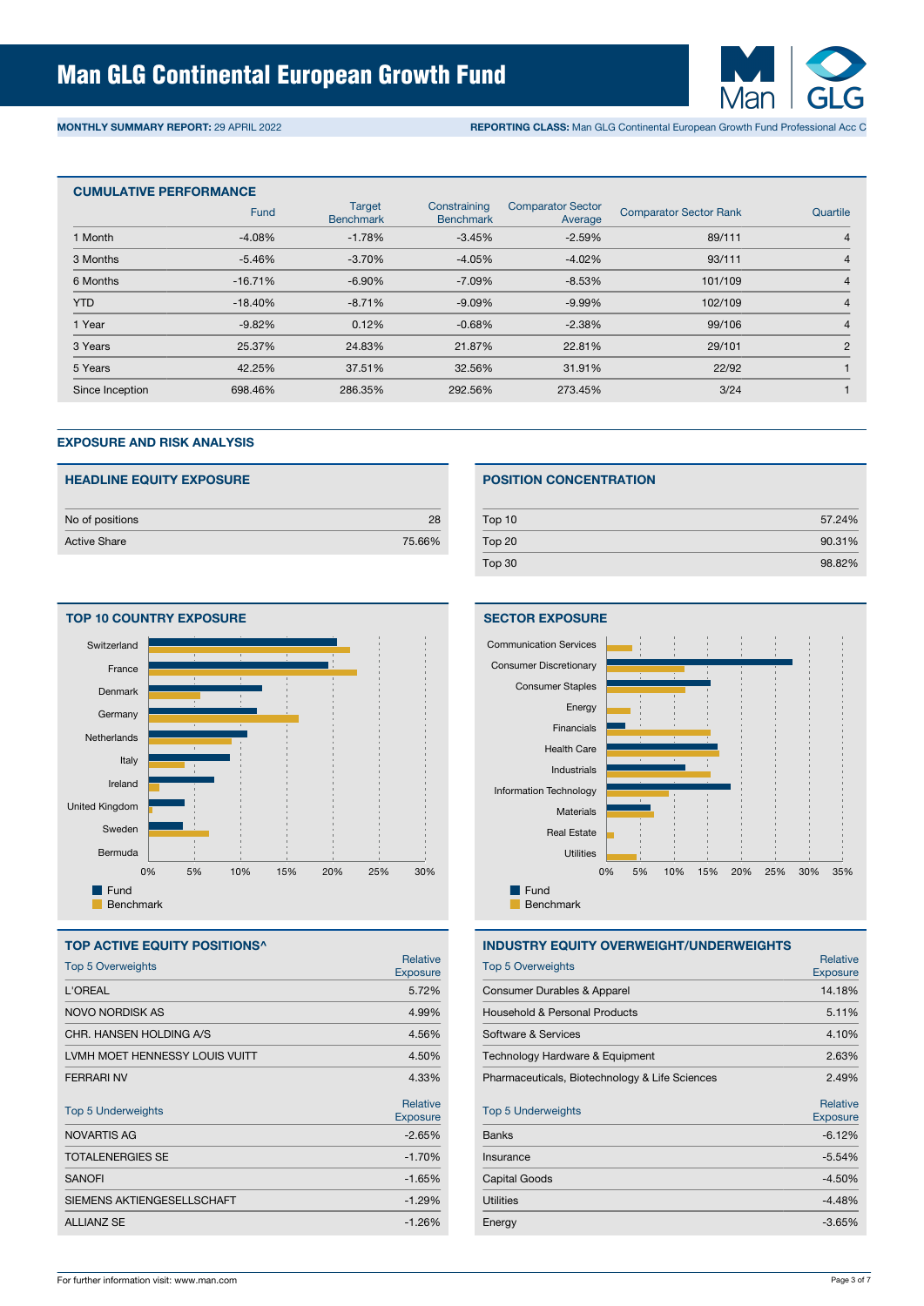

**MONTHLY SUMMARY REPORT:** 29 APRIL 2022 **REPORTING CLASS:** Man GLG Continental European Growth Fund Professional Acc C

| <b>CUMULATIVE PERFORMANCE</b> |           |                                   |                                  |                                     |                               |                |  |  |  |
|-------------------------------|-----------|-----------------------------------|----------------------------------|-------------------------------------|-------------------------------|----------------|--|--|--|
|                               | Fund      | <b>Target</b><br><b>Benchmark</b> | Constraining<br><b>Benchmark</b> | <b>Comparator Sector</b><br>Average | <b>Comparator Sector Rank</b> | Quartile       |  |  |  |
| 1 Month                       | $-4.08%$  | $-1.78%$                          | $-3.45%$                         | $-2.59%$                            | 89/111                        | $\overline{4}$ |  |  |  |
| 3 Months                      | $-5.46%$  | $-3.70%$                          | $-4.05%$                         | $-4.02%$                            | 93/111                        | 4              |  |  |  |
| 6 Months                      | $-16.71%$ | $-6.90%$                          | $-7.09\%$                        | $-8.53%$                            | 101/109                       | $\overline{4}$ |  |  |  |
| <b>YTD</b>                    | $-18.40%$ | $-8.71%$                          | $-9.09%$                         | $-9.99%$                            | 102/109                       | $\overline{4}$ |  |  |  |
| 1 Year                        | $-9.82%$  | 0.12%                             | $-0.68%$                         | $-2.38%$                            | 99/106                        | $\overline{4}$ |  |  |  |
| 3 Years                       | 25.37%    | 24.83%                            | 21.87%                           | 22.81%                              | 29/101                        | $\overline{2}$ |  |  |  |
| 5 Years                       | 42.25%    | 37.51%                            | 32.56%                           | 31.91%                              | 22/92                         |                |  |  |  |
| Since Inception               | 698.46%   | 286.35%                           | 292.56%                          | 273.45%                             | 3/24                          |                |  |  |  |

# **EXPOSURE AND RISK ANALYSIS**

| <b>HEADLINE EQUITY EXPOSURE</b> |        |
|---------------------------------|--------|
| No of positions                 | 28     |
| <b>Active Share</b>             | 75.66% |



#### **TOP ACTIVE EQUITY POSITIONS^**

| <b>Top 5 Overweights</b>       | Relative<br><b>Exposure</b>        |
|--------------------------------|------------------------------------|
| <b>L'OREAL</b>                 | 5.72%                              |
| <b>NOVO NORDISK AS</b>         | 4.99%                              |
| CHR. HANSEN HOLDING A/S        | 4.56%                              |
| LVMH MOET HENNESSY LOUIS VUITT | 4.50%                              |
| <b>FERRARI NV</b>              | 4.33%                              |
| <b>Top 5 Underweights</b>      | <b>Relative</b><br><b>Exposure</b> |
| NOVARTIS AG                    | $-2.65%$                           |
| <b>TOTALENERGIES SE</b>        | $-1.70%$                           |
| <b>SANOFI</b>                  | $-1.65%$                           |
| SIEMENS AKTIENGESELLSCHAFT     | $-1.29%$                           |
| <b>ALLIANZ SE</b>              | $-1.26%$                           |
|                                |                                    |

## **POSITION CONCENTRATION**

| Top 10 | 57.24% |
|--------|--------|
| Top 20 | 90.31% |
| Top 30 | 98.82% |



# **INDUSTRY EQUITY OVERWEIGHT/UNDERWEIGHTS**

| Relative<br><b>Exposure</b>        |  |  |  |
|------------------------------------|--|--|--|
| 14.18%                             |  |  |  |
| 5.11%                              |  |  |  |
| 4.10%                              |  |  |  |
| 2.63%                              |  |  |  |
| 2.49%                              |  |  |  |
| <b>Relative</b><br><b>Exposure</b> |  |  |  |
| $-6.12%$                           |  |  |  |
| $-5.54%$                           |  |  |  |
| $-4.50%$                           |  |  |  |
| $-4.48%$                           |  |  |  |
| $-3.65%$                           |  |  |  |
|                                    |  |  |  |

# **SECTOR EXPOSURE**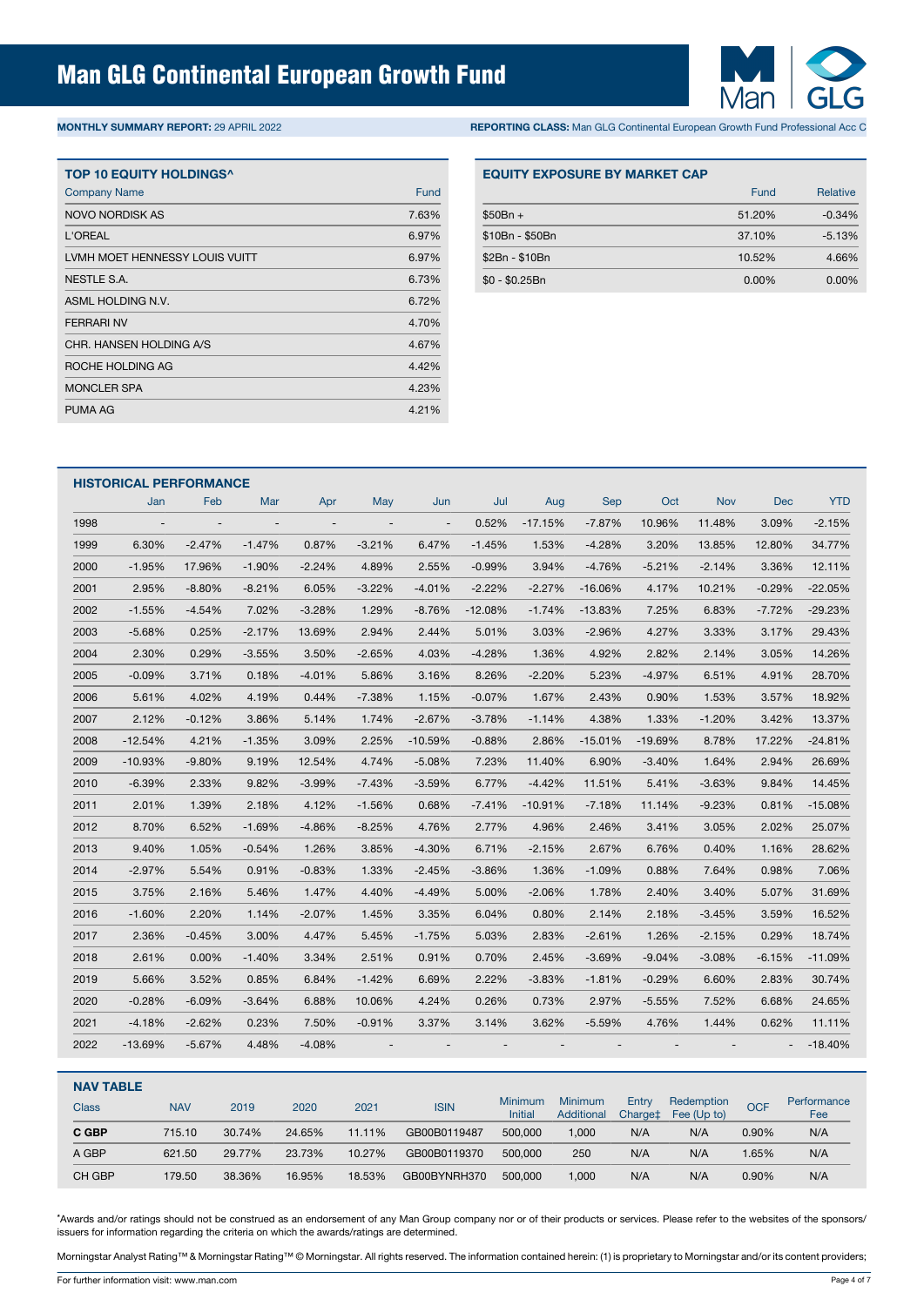

**MONTHLY SUMMARY REPORT:** 29 APRIL 2022 **REPORTING CLASS:** Man GLG Continental European Growth Fund Professional Acc C

| <b>TOP 10 EQUITY HOLDINGS^</b> |       |
|--------------------------------|-------|
| <b>Company Name</b>            | Fund  |
| NOVO NORDISK AS                | 7.63% |
| L'OREAL                        | 6.97% |
| LVMH MOET HENNESSY LOUIS VUITT | 6.97% |
| NESTLE S.A.                    | 6.73% |
| ASML HOLDING N.V.              | 6.72% |
| <b>FFRRARI NV</b>              | 4.70% |
| CHR. HANSEN HOLDING A/S        | 4.67% |
| ROCHE HOLDING AG               | 4.42% |
| <b>MONCLER SPA</b>             | 4.23% |
| <b>PUMA AG</b>                 | 4.21% |

| <b>EQUITY EXPOSURE BY MARKET CAP</b> |        |                 |  |  |  |  |  |  |  |
|--------------------------------------|--------|-----------------|--|--|--|--|--|--|--|
|                                      | Fund   | <b>Relative</b> |  |  |  |  |  |  |  |
| $$50Br +$                            | 51.20% | $-0.34%$        |  |  |  |  |  |  |  |
| \$10Bn - \$50Bn                      | 37.10% | $-5.13%$        |  |  |  |  |  |  |  |
| \$2Bn - \$10Bn                       | 10.52% | 4.66%           |  |  |  |  |  |  |  |
| $$0 - $0.25Bn$                       | 0.00%  | 0.00%           |  |  |  |  |  |  |  |

|      | <b>HISTORICAL PERFORMANCE</b> |                              |          |                          |                |                          |           |           |            |           |          |            |            |
|------|-------------------------------|------------------------------|----------|--------------------------|----------------|--------------------------|-----------|-----------|------------|-----------|----------|------------|------------|
|      | Jan                           | Feb                          | Mar      | Apr                      | May            | Jun                      | Jul       | Aug       | <b>Sep</b> | Oct       | Nov      | <b>Dec</b> | <b>YTD</b> |
| 1998 | $\overline{\phantom{a}}$      | $\qquad \qquad \blacksquare$ |          | $\overline{\phantom{a}}$ | $\overline{a}$ | $\overline{\phantom{a}}$ | 0.52%     | $-17.15%$ | $-7.87%$   | 10.96%    | 11.48%   | 3.09%      | $-2.15%$   |
| 1999 | 6.30%                         | $-2.47%$                     | $-1.47%$ | 0.87%                    | $-3.21%$       | 6.47%                    | $-1.45%$  | 1.53%     | $-4.28%$   | 3.20%     | 13.85%   | 12.80%     | 34.77%     |
| 2000 | $-1.95%$                      | 17.96%                       | $-1.90%$ | $-2.24%$                 | 4.89%          | 2.55%                    | $-0.99%$  | 3.94%     | $-4.76%$   | $-5.21%$  | $-2.14%$ | 3.36%      | 12.11%     |
| 2001 | 2.95%                         | $-8.80%$                     | $-8.21%$ | 6.05%                    | $-3.22%$       | $-4.01%$                 | $-2.22%$  | $-2.27%$  | $-16.06%$  | 4.17%     | 10.21%   | $-0.29%$   | $-22.05%$  |
| 2002 | $-1.55%$                      | $-4.54%$                     | 7.02%    | $-3.28%$                 | 1.29%          | $-8.76%$                 | $-12.08%$ | $-1.74%$  | $-13.83%$  | 7.25%     | 6.83%    | $-7.72%$   | $-29.23%$  |
| 2003 | $-5.68%$                      | 0.25%                        | $-2.17%$ | 13.69%                   | 2.94%          | 2.44%                    | 5.01%     | 3.03%     | $-2.96%$   | 4.27%     | 3.33%    | 3.17%      | 29.43%     |
| 2004 | 2.30%                         | 0.29%                        | $-3.55%$ | 3.50%                    | $-2.65%$       | 4.03%                    | $-4.28%$  | 1.36%     | 4.92%      | 2.82%     | 2.14%    | 3.05%      | 14.26%     |
| 2005 | $-0.09%$                      | 3.71%                        | 0.18%    | $-4.01%$                 | 5.86%          | 3.16%                    | 8.26%     | $-2.20%$  | 5.23%      | $-4.97%$  | 6.51%    | 4.91%      | 28.70%     |
| 2006 | 5.61%                         | 4.02%                        | 4.19%    | 0.44%                    | $-7.38%$       | 1.15%                    | $-0.07%$  | 1.67%     | 2.43%      | 0.90%     | 1.53%    | 3.57%      | 18.92%     |
| 2007 | 2.12%                         | $-0.12%$                     | 3.86%    | 5.14%                    | 1.74%          | $-2.67%$                 | $-3.78%$  | $-1.14%$  | 4.38%      | 1.33%     | $-1.20%$ | 3.42%      | 13.37%     |
| 2008 | $-12.54%$                     | 4.21%                        | $-1.35%$ | 3.09%                    | 2.25%          | $-10.59%$                | $-0.88%$  | 2.86%     | $-15.01%$  | $-19.69%$ | 8.78%    | 17.22%     | $-24.81%$  |
| 2009 | $-10.93%$                     | $-9.80%$                     | 9.19%    | 12.54%                   | 4.74%          | $-5.08%$                 | 7.23%     | 11.40%    | 6.90%      | $-3.40%$  | 1.64%    | 2.94%      | 26.69%     |
| 2010 | $-6.39%$                      | 2.33%                        | 9.82%    | $-3.99%$                 | $-7.43%$       | $-3.59%$                 | 6.77%     | $-4.42%$  | 11.51%     | 5.41%     | $-3.63%$ | 9.84%      | 14.45%     |
| 2011 | 2.01%                         | 1.39%                        | 2.18%    | 4.12%                    | $-1.56%$       | 0.68%                    | $-7.41%$  | $-10.91%$ | $-7.18%$   | 11.14%    | $-9.23%$ | 0.81%      | $-15.08%$  |
| 2012 | 8.70%                         | 6.52%                        | $-1.69%$ | $-4.86%$                 | $-8.25%$       | 4.76%                    | 2.77%     | 4.96%     | 2.46%      | 3.41%     | 3.05%    | 2.02%      | 25.07%     |
| 2013 | 9.40%                         | 1.05%                        | $-0.54%$ | 1.26%                    | 3.85%          | $-4.30%$                 | 6.71%     | $-2.15%$  | 2.67%      | 6.76%     | 0.40%    | 1.16%      | 28.62%     |
| 2014 | $-2.97%$                      | 5.54%                        | 0.91%    | $-0.83%$                 | 1.33%          | $-2.45%$                 | $-3.86%$  | 1.36%     | $-1.09%$   | 0.88%     | 7.64%    | 0.98%      | 7.06%      |
| 2015 | 3.75%                         | 2.16%                        | 5.46%    | 1.47%                    | 4.40%          | $-4.49%$                 | 5.00%     | $-2.06%$  | 1.78%      | 2.40%     | 3.40%    | 5.07%      | 31.69%     |
| 2016 | $-1.60%$                      | 2.20%                        | 1.14%    | $-2.07%$                 | 1.45%          | 3.35%                    | 6.04%     | 0.80%     | 2.14%      | 2.18%     | $-3.45%$ | 3.59%      | 16.52%     |
| 2017 | 2.36%                         | $-0.45%$                     | 3.00%    | 4.47%                    | 5.45%          | $-1.75%$                 | 5.03%     | 2.83%     | $-2.61%$   | 1.26%     | $-2.15%$ | 0.29%      | 18.74%     |
| 2018 | 2.61%                         | 0.00%                        | $-1.40%$ | 3.34%                    | 2.51%          | 0.91%                    | 0.70%     | 2.45%     | $-3.69%$   | $-9.04%$  | $-3.08%$ | $-6.15%$   | $-11.09%$  |
| 2019 | 5.66%                         | 3.52%                        | 0.85%    | 6.84%                    | $-1.42%$       | 6.69%                    | 2.22%     | $-3.83%$  | $-1.81%$   | $-0.29%$  | 6.60%    | 2.83%      | 30.74%     |
| 2020 | $-0.28%$                      | $-6.09%$                     | $-3.64%$ | 6.88%                    | 10.06%         | 4.24%                    | 0.26%     | 0.73%     | 2.97%      | $-5.55%$  | 7.52%    | 6.68%      | 24.65%     |
| 2021 | $-4.18%$                      | $-2.62%$                     | 0.23%    | 7.50%                    | $-0.91%$       | 3.37%                    | 3.14%     | 3.62%     | $-5.59%$   | 4.76%     | 1.44%    | 0.62%      | 11.11%     |
| 2022 | $-13.69%$                     | $-5.67%$                     | 4.48%    | $-4.08%$                 |                |                          |           |           |            |           |          |            | $-18.40%$  |

| <b>NAV TABLE</b> |            |        |        |        |              |                                  |                       |                              |                           |            |                    |
|------------------|------------|--------|--------|--------|--------------|----------------------------------|-----------------------|------------------------------|---------------------------|------------|--------------------|
| Class            | <b>NAV</b> | 2019   | 2020   | 2021   | <b>ISIN</b>  | <b>Minimum</b><br><b>Initial</b> | Minimum<br>Additional | Entry<br>Charge <sup>±</sup> | Redemption<br>Fee (Up to) | <b>OCF</b> | Performance<br>Fee |
| C GBP            | 715.10     | 30.74% | 24.65% | 11.11% | GB00B0119487 | 500,000                          | 1.000                 | N/A                          | N/A                       | 0.90%      | N/A                |
| A GBP            | 621.50     | 29.77% | 23.73% | 10.27% | GB00B0119370 | 500.000                          | 250                   | N/A                          | N/A                       | 1.65%      | N/A                |
| CH GBP           | 179.50     | 38.36% | 16.95% | 18.53% | GB00BYNRH370 | 500.000                          | 000, ا                | N/A                          | N/A                       | 0.90%      | N/A                |

\*Awards and/or ratings should not be construed as an endorsement of any Man Group company nor or of their products or services. Please refer to the websites of the sponsors/ issuers for information regarding the criteria on which the awards/ratings are determined.

Morningstar Analyst Rating™ & Morningstar Rating™ © Morningstar. All rights reserved. The information contained herein: (1) is proprietary to Morningstar and/or its content providers;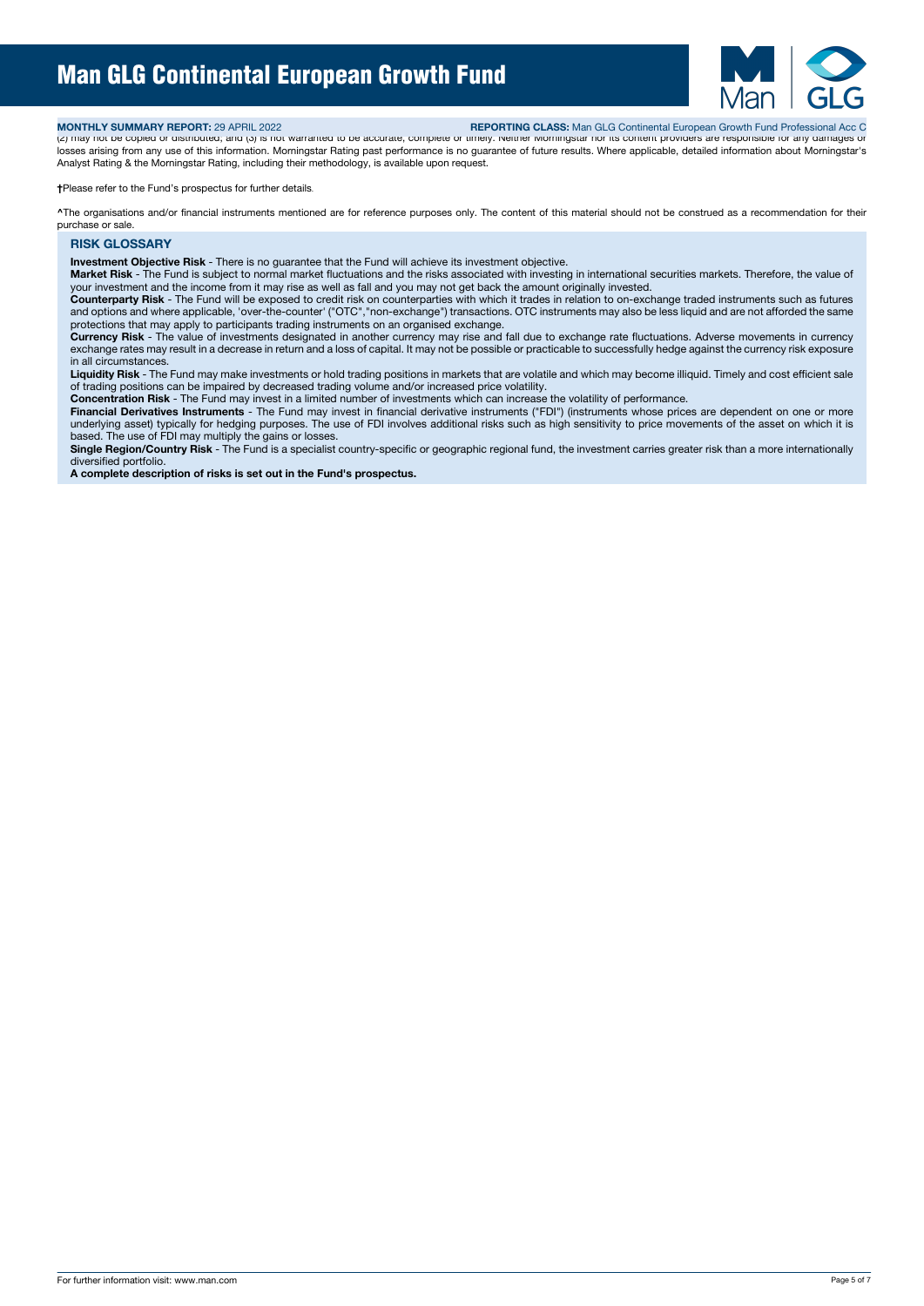

**MONTHLY SUMMARY REPORT:** 29 APRIL 2022 **REPORTING CLASS:** Man GLG Continental European Growth Fund Professional Acc C

(2) may not be copied or distributed; and (3) is not warranted to be accurate, complete or timely. Neither Morningstar nor its content providers are responsible for any damages or losses arising from any use of this information. Morningstar Rating past performance is no guarantee of future results. Where applicable, detailed information about Morningstar's Analyst Rating & the Morningstar Rating, including their methodology, is available upon request.

**†**Please refer to the Fund's prospectus for further details.

**^**The organisations and/or financial instruments mentioned are for reference purposes only. The content of this material should not be construed as a recommendation for their purchase or sale.

# **RISK GLOSSARY**

**Investment Objective Risk** - There is no guarantee that the Fund will achieve its investment objective.

**Market Risk** - The Fund is subject to normal market fluctuations and the risks associated with investing in international securities markets. Therefore, the value of your investment and the income from it may rise as well as fall and you may not get back the amount originally invested.

**Counterparty Risk** - The Fund will be exposed to credit risk on counterparties with which it trades in relation to on-exchange traded instruments such as futures and options and where applicable, 'over-the-counter' ("OTC","non-exchange") transactions. OTC instruments may also be less liquid and are not afforded the same protections that may apply to participants trading instruments on an organised exchange.

**Currency Risk** - The value of investments designated in another currency may rise and fall due to exchange rate fluctuations. Adverse movements in currency exchange rates may result in a decrease in return and a loss of capital. It may not be possible or practicable to successfully hedge against the currency risk exposure in all circumstances.

**Liquidity Risk** - The Fund may make investments or hold trading positions in markets that are volatile and which may become illiquid. Timely and cost efficient sale of trading positions can be impaired by decreased trading volume and/or increased price volatility.

**Concentration Risk** - The Fund may invest in a limited number of investments which can increase the volatility of performance.

Financial Derivatives Instruments - The Fund may invest in financial derivative instruments ("FDI") (instruments whose prices are dependent on one or more underlying asset) typically for hedging purposes. The use of FDI involves additional risks such as high sensitivity to price movements of the asset on which it is based. The use of FDI may multiply the gains or losses.

**Single Region/Country Risk** - The Fund is a specialist country-specific or geographic regional fund, the investment carries greater risk than a more internationally diversified portfolio.

**A complete description of risks is set out in the Fund's prospectus.**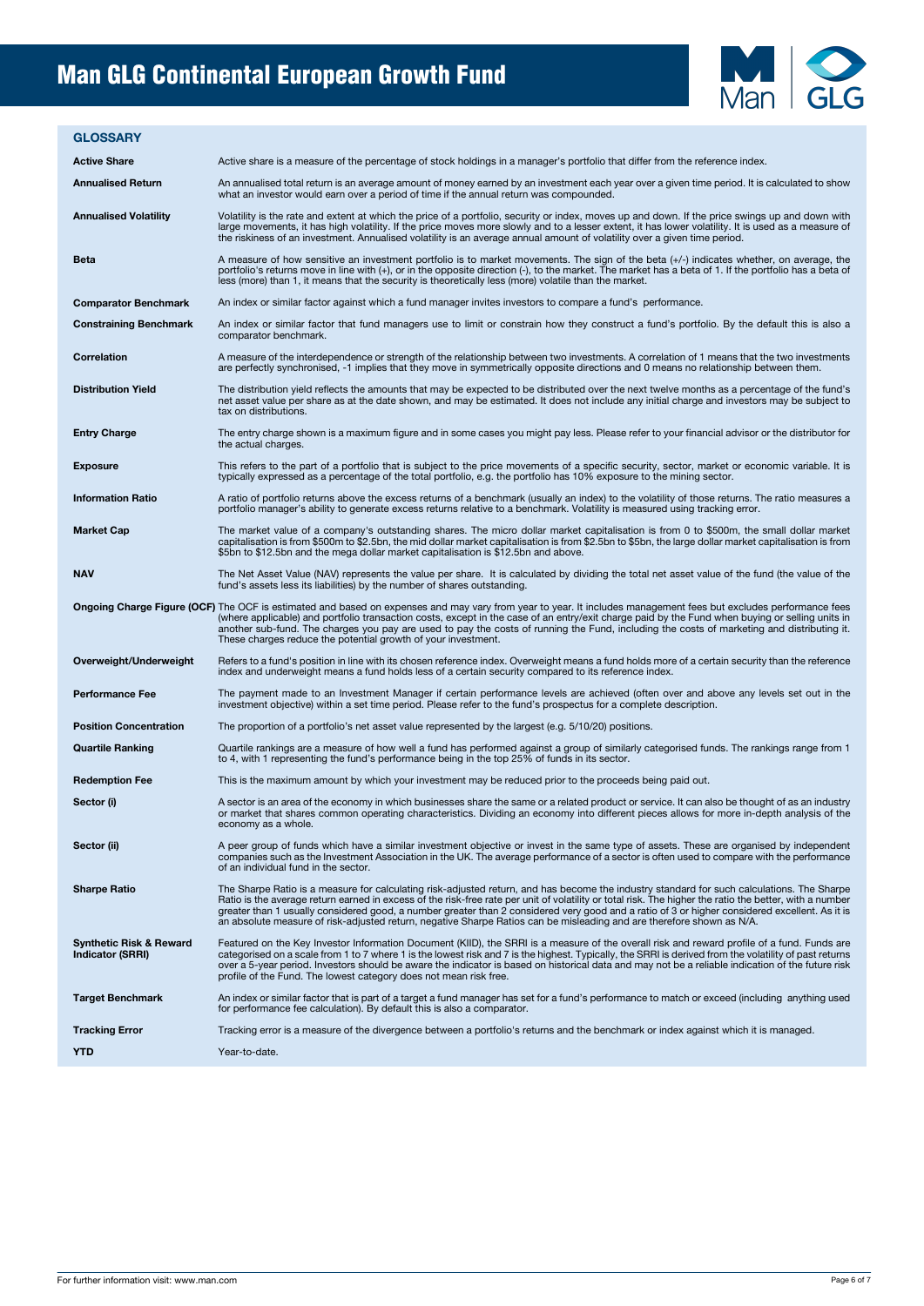

#### **GLOSSARY**

Active Share **Active share** is a measure of the percentage of stock holdings in a manager's portfolio that differ from the reference index. An annualised Return An annualised total return is an average amount of money earned by an investment each year over a given time period. It is calculated to show<br>what an investor would earn over a period of time if the an Annualised Volatility is the rate and extent at which the price of a portfolio, security or index, moves up and down. If the price swings up and down with<br>Iare movements, it has high volatility. If the price moves more slo A measure of how sensitive an investment portfolio is to market movements. The sign of the beta (+/-) indicates whether, on average, the<br>portfolio's returns move in line with (+), or in the opposite direction (-), to the m less (more) than 1, it means that the security is theoretically less (more) volatile than the market. **Comparator Benchmark** An index or similar factor against which a fund manager invites investors to compare a fund's performance. Constraining Benchmark An index or similar factor that fund managers use to limit or constrain how they construct a fund's portfolio. By the default this is also a comparator benchmark. Correlation **A** measure of the interdependence or strength of the relationship between two investments. A correlation of 1 means that the two investments are perfectly synchronised, -1 implies that they move in symmetrically opposite directions and 0 means no relationship between them. Distribution Yield The distribution yield reflects the amounts that may be expected to be distributed over the next twelve months as a percentage of the fund's<br>net asset value per share as at the date shown, and may be est tax on distributions. Entry Charge The entry charge shown is a maximum figure and in some cases you might pay less. Please refer to your financial advisor or the distributor for the distributor for the distributor for the actual charges. Exposure This refers to the part of a portfolio that is subject to the price movements of a specific security, sector, market or economic variable. It is<br>typically expressed as a percentage of the total portfolio, e.g. the Information Ratio Anatio of portfolio returns above the excess returns of a benchmark (usually an index) to the volatility of those returns. The ratio measures a<br>portfolio manager's ability to generate excess returns relat **Market Cap** The market value of a company's outstanding shares. The micro dollar market capitalisation is from 0 to \$500m, the small dollar market capitalisation is from \$500m to \$2.5bn, the mid dollar market capitalisation is from \$2.5bn to \$5bn, the large dollar market capitalisation is from \$5bn to \$12.5bn and the mega dollar market capitalisation is \$12.5bn and above. The Net Asset Value (NAV) represents the value per share. It is calculated by dividing the total net asset value of the fund (the value of the value of the value of the value of the fund's assets less its liabilities) by t Ongoing Charge Figure (OCF) The OCF is estimated and based on expenses and may vary from year to year. It includes management fees but excludes performance fees<br>(where applicable) and portfolio transaction costs, except in another sub-fund. The charges you pay are used to pay the costs of running the Fund, including the costs of marketing and distributing it. These charges reduce the potential growth of your investment. **Overweight/Underweight** Refers to a fund's position in line with its chosen reference index. Overweight means a fund holds more of a certain security than the reference index and underweight means a fund holds less of a certain security compared to its reference index. Performance Fee The payment made to an Investment Manager if certain performance levels are achieved (often over and above any levels set out in the<br>investment objective) within a set time period. Please refer to the fund' **Position Concentration** The proportion of a portfolio's net asset value represented by the largest (e.g. 5/10/20) positions. **Quartile Ranking** Quartile rankings are a measure of how well a fund has performed against a group of similarly categorised funds. The rankings range from 1 to 4, with 1 representing the fund's performance being in the top 25% of funds in its sector. **Redemption Fee** This is the maximum amount by which your investment may be reduced prior to the proceeds being paid out. Sector (i) a sector is an area of the economy in which businesses share the same or a related product or service. It can also be thought of as an industry or market that shares common operating characteristics. Dividing an economy as a whole. **Sector (ii)** A peer group of funds which have a similar investment objective or invest in the same type of assets. These are organised by independent companies such as the Investment Association in the UK. The average performance of a sector is often used to compare with the performance of an individual fund in the sector. Sharpe Ratio The Sharpe Ratio is a measure for calculating risk-adjusted return, and has become the industry standard for such calculations. The Sharpe<br>Ratio is the average return earned in excess of the risk-free rate per an absolute measure of risk-adjusted return, negative Sharpe Ratios can be misleading and are therefore shown as N/A. **Synthetic Risk & Reward Indicator (SRRI)** Featured on the Key Investor Information Document (KIID), the SRRI is a measure of the overall risk and reward profile of a fund. Funds are<br>categorised on a scale from 1 to 7 where 1 is the lowest risk and 7 is the highest Target Benchmark **Submark** An index or similar factor that is part of a target a fund manager has set for a fund's performance to match or exceed (including anything used<br>for performance fee calculation). By default this i Tracking Error Tracking error is a measure of the divergence between a portfolio's returns and the benchmark or index against which it is managed. **YTD** Year-to-date